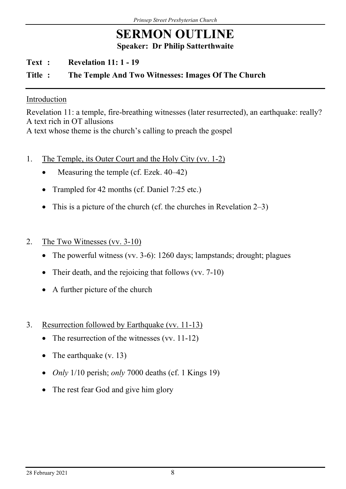## SERMON OUTLINE Speaker: Dr Philip Satterthwaite

Text : Revelation 11: 1 - 19

## Title : The Temple And Two Witnesses: Images Of The Church

## Introduction

Revelation 11: a temple, fire-breathing witnesses (later resurrected), an earthquake: really? A text rich in OT allusions A text whose theme is the church's calling to preach the gospel

- 1. The Temple, its Outer Court and the Holy City (vv. 1-2)
	- Measuring the temple (cf. Ezek. 40–42)
	- Trampled for 42 months (cf. Daniel 7:25 etc.)
	- This is a picture of the church (cf. the churches in Revelation  $2-3$ )
- 2. The Two Witnesses (vv. 3-10)
	- The powerful witness (vv. 3-6): 1260 days; lampstands; drought; plagues
	- Their death, and the rejoicing that follows (vv. 7-10)
	- A further picture of the church
- 3. Resurrection followed by Earthquake (vv. 11-13)
	- The resurrection of the witnesses (vv.  $11-12$ )
	- The earthquake  $(v. 13)$
	- *Only* 1/10 perish; *only* 7000 deaths (cf. 1 Kings 19)
	- The rest fear God and give him glory